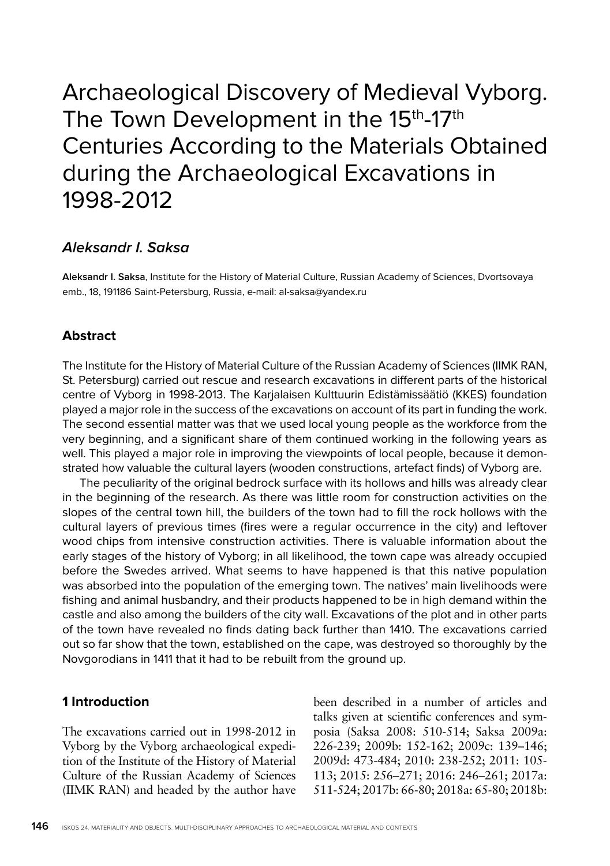# Archaeological Discovery of Medieval Vyborg. The Town Development in the 15<sup>th</sup>-17<sup>th</sup> Centuries According to the Materials Obtained during the Archaeological Excavations in 1998-2012

# **Aleksandr I. Saksa**

**Aleksandr I. Saksa**, Institute for the History of Material Culture, Russian Academy of Sciences, Dvortsovaya emb., 18, 191186 Saint-Petersburg, Russia, e-mail: al-saksa@yandex.ru

## **Abstract**

The Institute for the History of Material Culture of the Russian Academy of Sciences (IIMK RAN, St. Petersburg) carried out rescue and research excavations in different parts of the historical centre of Vyborg in 1998-2013. The Karjalaisen Kulttuurin Edistämissäätiö (KKES) foundation played a major role in the success of the excavations on account of its part in funding the work. The second essential matter was that we used local young people as the workforce from the very beginning, and a significant share of them continued working in the following years as well. This played a major role in improving the viewpoints of local people, because it demonstrated how valuable the cultural layers (wooden constructions, artefact finds) of Vyborg are.

The peculiarity of the original bedrock surface with its hollows and hills was already clear in the beginning of the research. As there was little room for construction activities on the slopes of the central town hill, the builders of the town had to fill the rock hollows with the cultural layers of previous times (fires were a regular occurrence in the city) and leftover wood chips from intensive construction activities. There is valuable information about the early stages of the history of Vyborg; in all likelihood, the town cape was already occupied before the Swedes arrived. What seems to have happened is that this native population was absorbed into the population of the emerging town. The natives' main livelihoods were fishing and animal husbandry, and their products happened to be in high demand within the castle and also among the builders of the city wall. Excavations of the plot and in other parts of the town have revealed no finds dating back further than 1410. The excavations carried out so far show that the town, established on the cape, was destroyed so thoroughly by the Novgorodians in 1411 that it had to be rebuilt from the ground up.

#### **1 Introduction**

The excavations carried out in 1998-2012 in Vyborg by the Vyborg archaeological expedition of the Institute of the History of Material Culture of the Russian Academy of Sciences (IIMK RAN) and headed by the author have

been described in a number of articles and talks given at scientific conferences and symposia (Saksa 2008: 510-514; Saksa 2009a: 226-239; 2009b: 152-162; 2009c: 139–146; 2009d: 473-484; 2010: 238-252; 2011: 105- 113; 2015: 256–271; 2016: 246–261; 2017a: 511-524; 2017b: 66-80; 2018a: 65-80; 2018b: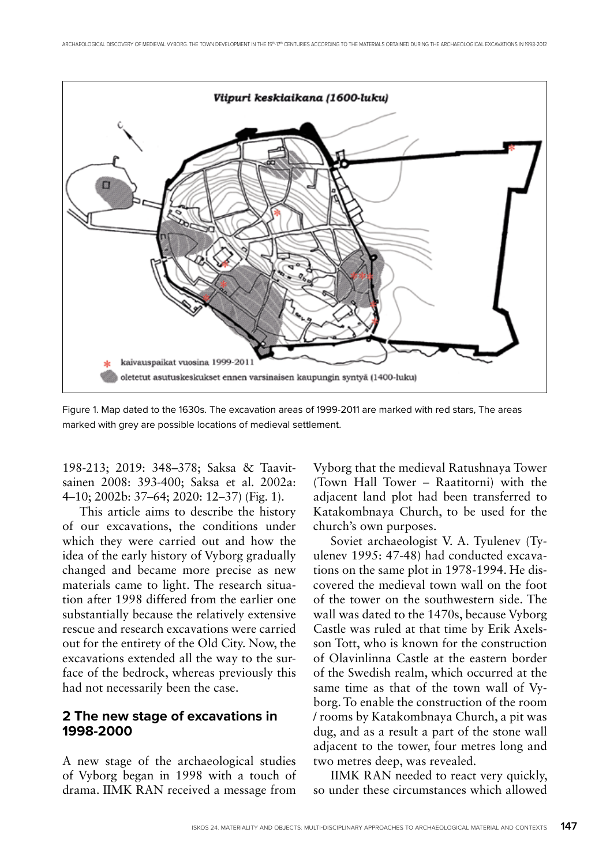

Figure 1. Map dated to the 1630s. The excavation areas of 1999-2011 are marked with red stars, The areas marked with grey are possible locations of medieval settlement.

198-213; 2019: 348–378; Saksa & Taavitsainen 2008: 393-400; Saksa et al. 2002a: 4–10; 2002b: 37–64; 2020: 12–37) (Fig. 1).

This article aims to describe the history of our excavations, the conditions under which they were carried out and how the idea of the early history of Vyborg gradually changed and became more precise as new materials came to light. The research situation after 1998 differed from the earlier one substantially because the relatively extensive rescue and research excavations were carried out for the entirety of the Old City. Now, the excavations extended all the way to the surface of the bedrock, whereas previously this had not necessarily been the case.

#### **2 The new stage of excavations in 1998-2000**

A new stage of the archaeological studies of Vyborg began in 1998 with a touch of drama. IIMK RAN received a message from

Vyborg that the medieval Ratushnaya Tower (Town Hall Tower – Raatitorni) with the adjacent land plot had been transferred to Katakombnaya Church, to be used for the church's own purposes.

Soviet archaeologist V. A. Tyulenev (Tyulenev 1995: 47-48) had conducted excavations on the same plot in 1978-1994. He discovered the medieval town wall on the foot of the tower on the southwestern side. The wall was dated to the 1470s, because Vyborg Castle was ruled at that time by Erik Axelsson Tott, who is known for the construction of Olavinlinna Castle at the eastern border of the Swedish realm, which occurred at the same time as that of the town wall of Vyborg. To enable the construction of the room / rooms by Katakombnaya Church, a pit was dug, and as a result a part of the stone wall adjacent to the tower, four metres long and two metres deep, was revealed.

IIMK RAN needed to react very quickly, so under these circumstances which allowed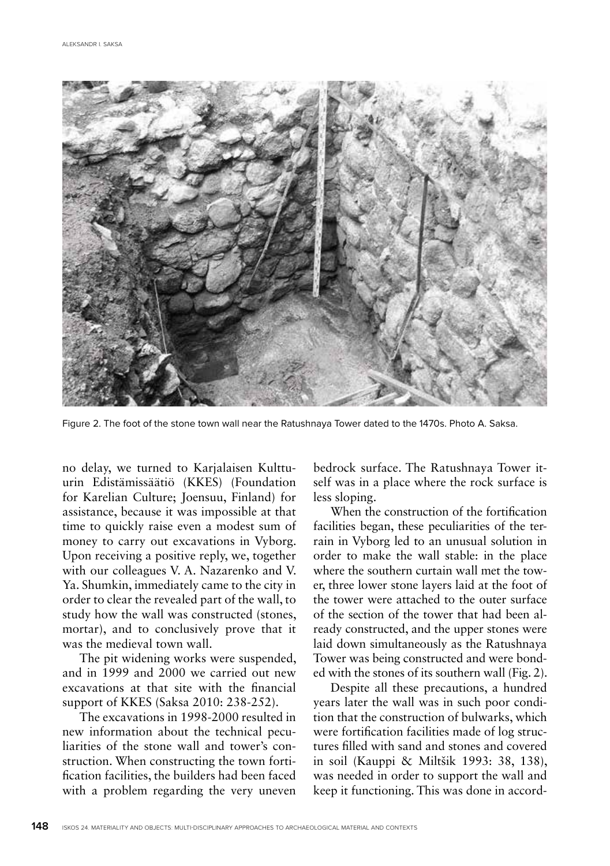

Figure 2. The foot of the stone town wall near the Ratushnaya Tower dated to the 1470s. Photo A. Saksa.

no delay, we turned to Karjalaisen Kulttuurin Edistämissäätiö (KKES) (Foundation for Karelian Culture; Joensuu, Finland) for assistance, because it was impossible at that time to quickly raise even a modest sum of money to carry out excavations in Vyborg. Upon receiving a positive reply, we, together with our colleagues V. A. Nazarenko and V. Ya. Shumkin, immediately came to the city in order to clear the revealed part of the wall, to study how the wall was constructed (stones, mortar), and to conclusively prove that it was the medieval town wall.

The pit widening works were suspended, and in 1999 and 2000 we carried out new excavations at that site with the financial support of KKES (Saksa 2010: 238-252).

The excavations in 1998-2000 resulted in new information about the technical peculiarities of the stone wall and tower's construction. When constructing the town fortification facilities, the builders had been faced with a problem regarding the very uneven bedrock surface. The Ratushnaya Tower itself was in a place where the rock surface is less sloping.

When the construction of the fortification facilities began, these peculiarities of the terrain in Vyborg led to an unusual solution in order to make the wall stable: in the place where the southern curtain wall met the tower, three lower stone layers laid at the foot of the tower were attached to the outer surface of the section of the tower that had been already constructed, and the upper stones were laid down simultaneously as the Ratushnaya Tower was being constructed and were bonded with the stones of its southern wall (Fig. 2).

Despite all these precautions, a hundred years later the wall was in such poor condition that the construction of bulwarks, which were fortification facilities made of log structures filled with sand and stones and covered in soil (Kauppi & Miltšik 1993: 38, 138), was needed in order to support the wall and keep it functioning. This was done in accord-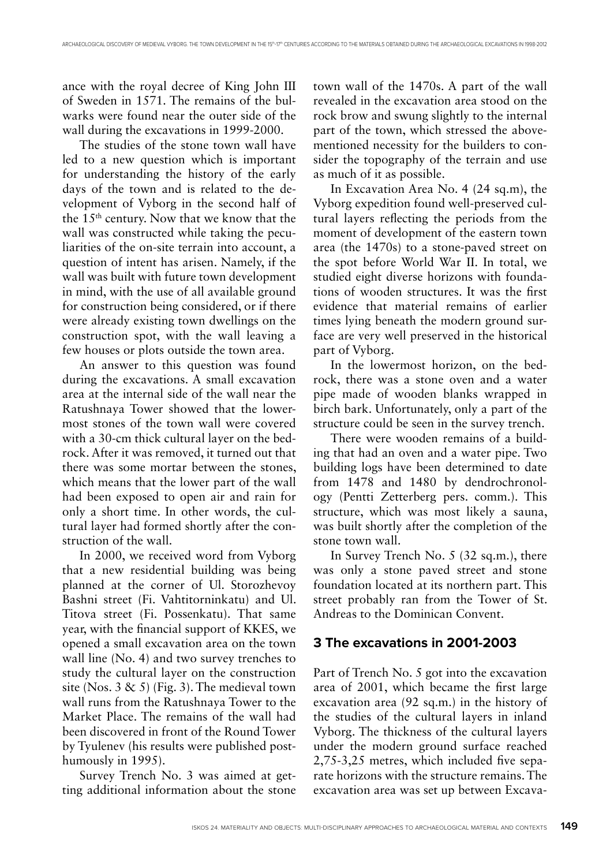ance with the royal decree of King John III of Sweden in 1571. The remains of the bulwarks were found near the outer side of the wall during the excavations in 1999-2000.

The studies of the stone town wall have led to a new question which is important for understanding the history of the early days of the town and is related to the development of Vyborg in the second half of the 15th century. Now that we know that the wall was constructed while taking the peculiarities of the on-site terrain into account, a question of intent has arisen. Namely, if the wall was built with future town development in mind, with the use of all available ground for construction being considered, or if there were already existing town dwellings on the construction spot, with the wall leaving a few houses or plots outside the town area.

An answer to this question was found during the excavations. A small excavation area at the internal side of the wall near the Ratushnaya Tower showed that the lowermost stones of the town wall were covered with a 30-cm thick cultural layer on the bedrock. After it was removed, it turned out that there was some mortar between the stones, which means that the lower part of the wall had been exposed to open air and rain for only a short time. In other words, the cultural layer had formed shortly after the construction of the wall.

In 2000, we received word from Vyborg that a new residential building was being planned at the corner of Ul. Storozhevoy Bashni street (Fi. Vahtitorninkatu) and Ul. Titova street (Fi. Possenkatu). That same year, with the financial support of KKES, we opened a small excavation area on the town wall line (No. 4) and two survey trenches to study the cultural layer on the construction site (Nos.  $3 \& 5$ ) (Fig. 3). The medieval town wall runs from the Ratushnaya Tower to the Market Place. The remains of the wall had been discovered in front of the Round Tower by Tyulenev (his results were published posthumously in 1995).

Survey Trench No. 3 was aimed at getting additional information about the stone town wall of the 1470s. A part of the wall revealed in the excavation area stood on the rock brow and swung slightly to the internal part of the town, which stressed the abovementioned necessity for the builders to consider the topography of the terrain and use as much of it as possible.

In Excavation Area No. 4 (24 sq.m), the Vyborg expedition found well-preserved cultural layers reflecting the periods from the moment of development of the eastern town area (the 1470s) to a stone-paved street on the spot before World War II. In total, we studied eight diverse horizons with foundations of wooden structures. It was the first evidence that material remains of earlier times lying beneath the modern ground surface are very well preserved in the historical part of Vyborg.

In the lowermost horizon, on the bedrock, there was a stone oven and a water pipe made of wooden blanks wrapped in birch bark. Unfortunately, only a part of the structure could be seen in the survey trench.

There were wooden remains of a building that had an oven and a water pipe. Two building logs have been determined to date from 1478 and 1480 by dendrochronology (Pentti Zetterberg pers. comm.). This structure, which was most likely a sauna, was built shortly after the completion of the stone town wall.

In Survey Trench No. 5 (32 sq.m.), there was only a stone paved street and stone foundation located at its northern part. This street probably ran from the Tower of St. Andreas to the Dominican Convent.

#### **3 The excavations in 2001-2003**

Part of Trench No. 5 got into the excavation area of 2001, which became the first large excavation area (92 sq.m.) in the history of the studies of the cultural layers in inland Vyborg. The thickness of the cultural layers under the modern ground surface reached 2,75-3,25 metres, which included five separate horizons with the structure remains. The excavation area was set up between Excava-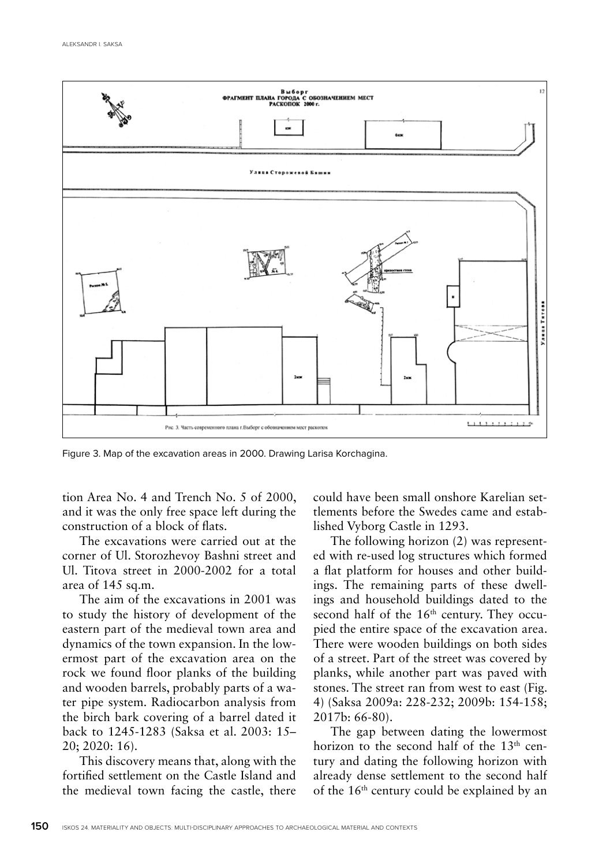

Figure 3. Map of the excavation areas in 2000. Drawing Larisa Korchagina.

tion Area No. 4 and Trench No. 5 of 2000, and it was the only free space left during the construction of a block of flats.

The excavations were carried out at the corner of Ul. Storozhevoy Bashni street and Ul. Titova street in 2000-2002 for a total area of 145 sq.m.

The aim of the excavations in 2001 was to study the history of development of the eastern part of the medieval town area and dynamics of the town expansion. In the lowermost part of the excavation area on the rock we found floor planks of the building and wooden barrels, probably parts of a water pipe system. Radiocarbon analysis from the birch bark covering of a barrel dated it back to 1245-1283 (Saksa et al. 2003: 15– 20; 2020: 16).

This discovery means that, along with the fortified settlement on the Castle Island and the medieval town facing the castle, there could have been small onshore Karelian settlements before the Swedes came and established Vyborg Castle in 1293.

The following horizon (2) was represented with re-used log structures which formed a flat platform for houses and other buildings. The remaining parts of these dwellings and household buildings dated to the second half of the  $16<sup>th</sup>$  century. They occupied the entire space of the excavation area. There were wooden buildings on both sides of a street. Part of the street was covered by planks, while another part was paved with stones. The street ran from west to east (Fig. 4) (Saksa 2009a: 228-232; 2009b: 154-158; 2017b: 66-80).

The gap between dating the lowermost horizon to the second half of the 13<sup>th</sup> century and dating the following horizon with already dense settlement to the second half of the 16th century could be explained by an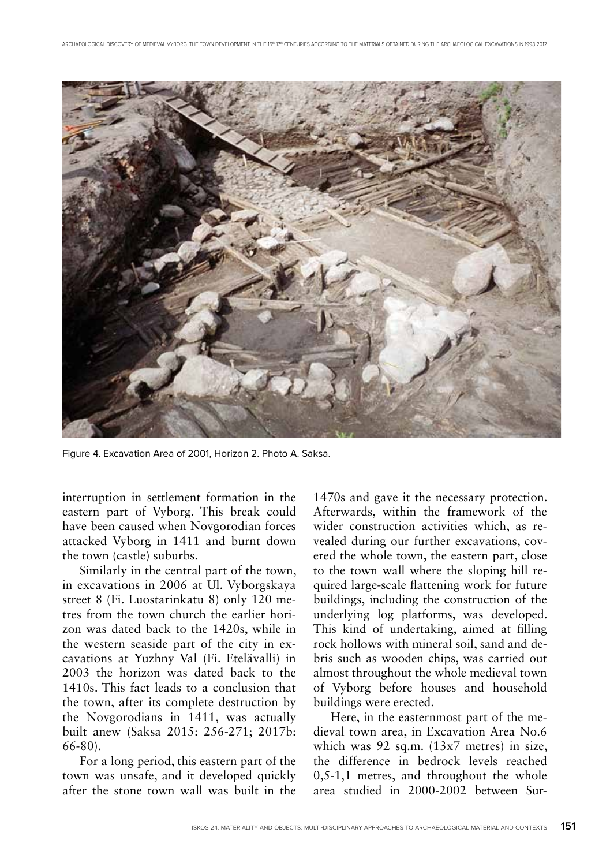

Figure 4. Excavation Area of 2001, Horizon 2. Photo A. Saksa.

interruption in settlement formation in the eastern part of Vyborg. This break could have been caused when Novgorodian forces attacked Vyborg in 1411 and burnt down the town (castle) suburbs.

Similarly in the central part of the town, in excavations in 2006 at Ul. Vyborgskaya street 8 (Fi. Luostarinkatu 8) only 120 metres from the town church the earlier horizon was dated back to the 1420s, while in the western seaside part of the city in excavations at Yuzhny Val (Fi. Etelävalli) in 2003 the horizon was dated back to the 1410s. This fact leads to a conclusion that the town, after its complete destruction by the Novgorodians in 1411, was actually built anew (Saksa 2015: 256-271; 2017b: 66-80).

For a long period, this eastern part of the town was unsafe, and it developed quickly after the stone town wall was built in the

1470s and gave it the necessary protection. Afterwards, within the framework of the wider construction activities which, as revealed during our further excavations, covered the whole town, the eastern part, close to the town wall where the sloping hill required large-scale flattening work for future buildings, including the construction of the underlying log platforms, was developed. This kind of undertaking, aimed at filling rock hollows with mineral soil, sand and debris such as wooden chips, was carried out almost throughout the whole medieval town of Vyborg before houses and household buildings were erected.

Here, in the easternmost part of the medieval town area, in Excavation Area No.6 which was 92 sq.m. (13x7 metres) in size, the difference in bedrock levels reached 0,5-1,1 metres, and throughout the whole area studied in 2000-2002 between Sur-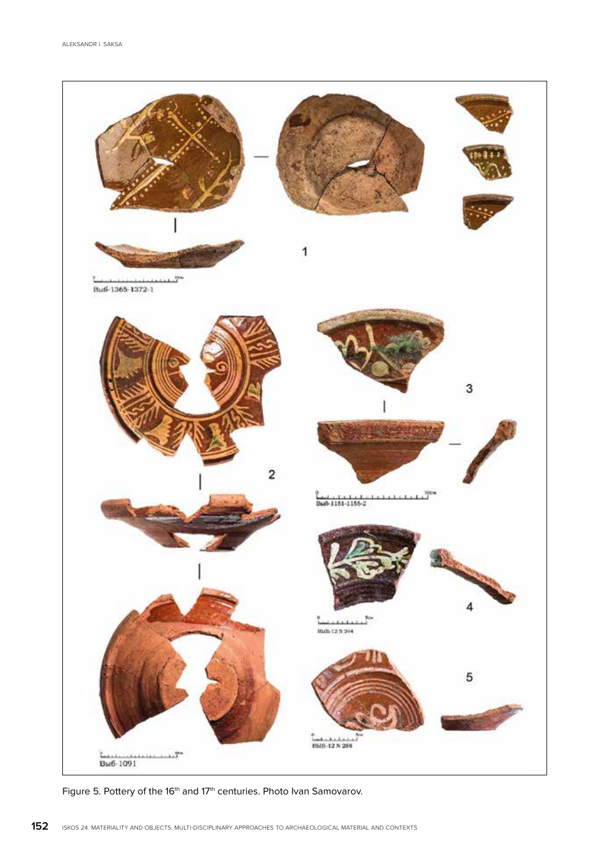

Figure 5. Pottery of the 16<sup>th</sup> and 17<sup>th</sup> centuries. Photo Ivan Samovarov.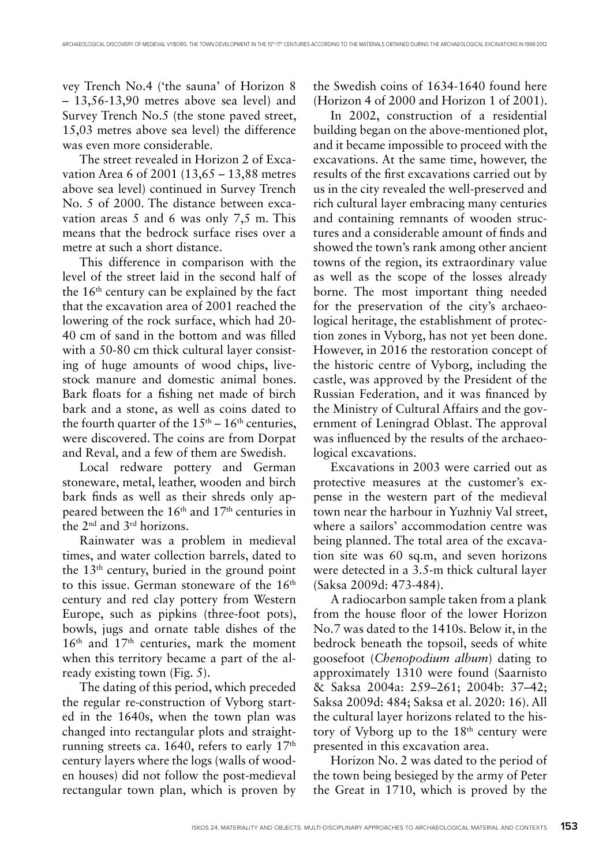vey Trench No.4 ('the sauna' of Horizon 8 – 13,56-13,90 metres above sea level) and Survey Trench No.5 (the stone paved street, 15,03 metres above sea level) the difference was even more considerable.

The street revealed in Horizon 2 of Excavation Area 6 of 2001 (13,65 – 13,88 metres above sea level) continued in Survey Trench No. 5 of 2000. The distance between excavation areas 5 and 6 was only 7,5 m. This means that the bedrock surface rises over a metre at such a short distance.

This difference in comparison with the level of the street laid in the second half of the 16th century can be explained by the fact that the excavation area of 2001 reached the lowering of the rock surface, which had 20- 40 cm of sand in the bottom and was filled with a 50-80 cm thick cultural layer consisting of huge amounts of wood chips, livestock manure and domestic animal bones. Bark floats for a fishing net made of birch bark and a stone, as well as coins dated to the fourth quarter of the  $15<sup>th</sup> - 16<sup>th</sup>$  centuries, were discovered. The coins are from Dorpat and Reval, and a few of them are Swedish.

Local redware pottery and German stoneware, metal, leather, wooden and birch bark finds as well as their shreds only appeared between the 16th and 17th centuries in the 2nd and 3rd horizons.

Rainwater was a problem in medieval times, and water collection barrels, dated to the 13th century, buried in the ground point to this issue. German stoneware of the 16<sup>th</sup> century and red clay pottery from Western Europe, such as pipkins (three-foot pots), bowls, jugs and ornate table dishes of the 16th and 17th centuries, mark the moment when this territory became a part of the already existing town (Fig. 5).

The dating of this period, which preceded the regular re-construction of Vyborg started in the 1640s, when the town plan was changed into rectangular plots and straightrunning streets ca. 1640, refers to early 17<sup>th</sup> century layers where the logs (walls of wooden houses) did not follow the post-medieval rectangular town plan, which is proven by

the Swedish coins of 1634-1640 found here (Horizon 4 of 2000 and Horizon 1 of 2001).

In 2002, construction of a residential building began on the above-mentioned plot, and it became impossible to proceed with the excavations. At the same time, however, the results of the first excavations carried out by us in the city revealed the well-preserved and rich cultural layer embracing many centuries and containing remnants of wooden structures and a considerable amount of finds and showed the town's rank among other ancient towns of the region, its extraordinary value as well as the scope of the losses already borne. The most important thing needed for the preservation of the city's archaeological heritage, the establishment of protection zones in Vyborg, has not yet been done. However, in 2016 the restoration concept of the historic centre of Vyborg, including the castle, was approved by the President of the Russian Federation, and it was financed by the Ministry of Cultural Affairs and the government of Leningrad Oblast. The approval was influenced by the results of the archaeological excavations.

Excavations in 2003 were carried out as protective measures at the customer's expense in the western part of the medieval town near the harbour in Yuzhniy Val street, where a sailors' accommodation centre was being planned. The total area of the excavation site was 60 sq.m, and seven horizons were detected in a 3.5-m thick cultural layer (Saksa 2009d: 473-484).

A radiocarbon sample taken from a plank from the house floor of the lower Horizon No.7 was dated to the 1410s. Below it, in the bedrock beneath the topsoil, seeds of white goosefoot (*Chenopodium album*) dating to approximately 1310 were found (Saarnisto & Saksa 2004a: 259–261; 2004b: 37–42; Saksa 2009d: 484; Saksa et al. 2020: 16). All the cultural layer horizons related to the history of Vyborg up to the 18th century were presented in this excavation area.

Horizon No. 2 was dated to the period of the town being besieged by the army of Peter the Great in 1710, which is proved by the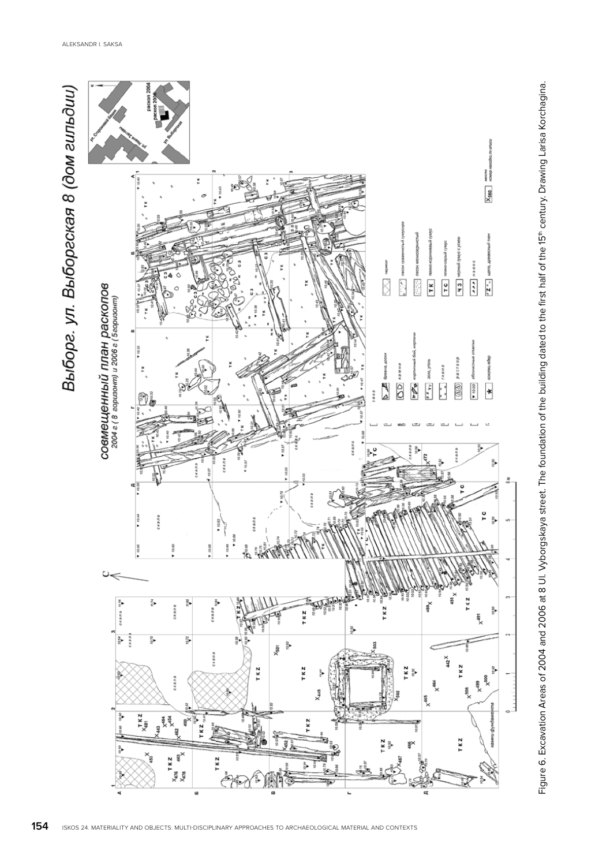

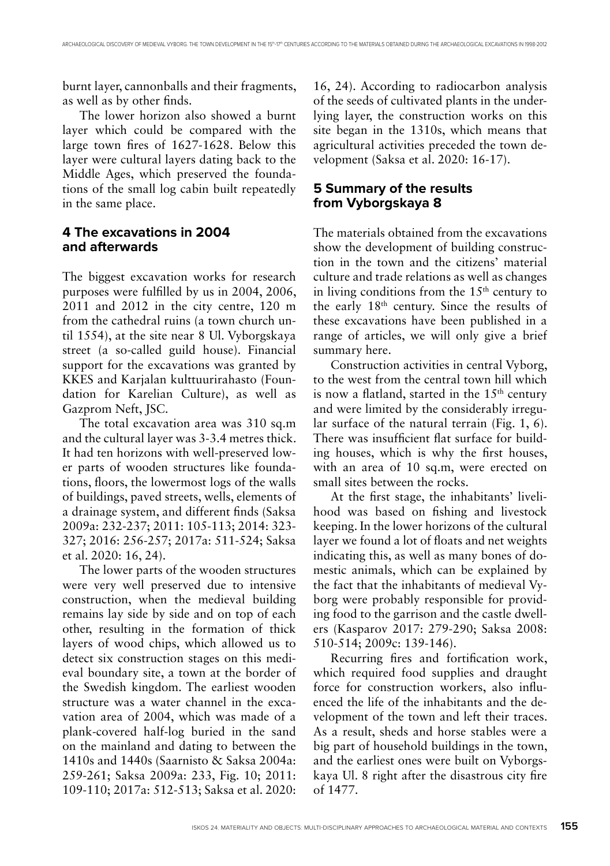burnt layer, cannonballs and their fragments, as well as by other finds.

The lower horizon also showed a burnt layer which could be compared with the large town fires of 1627-1628. Below this layer were cultural layers dating back to the Middle Ages, which preserved the foundations of the small log cabin built repeatedly in the same place.

## **4 The excavations in 2004 and afterwards**

The biggest excavation works for research purposes were fulfilled by us in 2004, 2006, 2011 and 2012 in the city centre, 120 m from the cathedral ruins (a town church until 1554), at the site near 8 Ul. Vyborgskaya street (a so-called guild house). Financial support for the excavations was granted by KKES and Karjalan kulttuurirahasto (Foundation for Karelian Culture), as well as Gazprom Neft, JSC.

The total excavation area was 310 sq.m and the cultural layer was 3-3.4 metres thick. It had ten horizons with well-preserved lower parts of wooden structures like foundations, floors, the lowermost logs of the walls of buildings, paved streets, wells, elements of a drainage system, and different finds (Saksa 2009a: 232-237; 2011: 105-113; 2014: 323- 327; 2016: 256-257; 2017a: 511-524; Saksa et al. 2020: 16, 24).

The lower parts of the wooden structures were very well preserved due to intensive construction, when the medieval building remains lay side by side and on top of each other, resulting in the formation of thick layers of wood chips, which allowed us to detect six construction stages on this medieval boundary site, a town at the border of the Swedish kingdom. The earliest wooden structure was a water channel in the excavation area of 2004, which was made of a plank-covered half-log buried in the sand on the mainland and dating to between the 1410s and 1440s (Saarnisto & Saksa 2004a: 259-261; Saksa 2009a: 233, Fig. 10; 2011: 109-110; 2017a: 512-513; Saksa et al. 2020:

16, 24). According to radiocarbon analysis of the seeds of cultivated plants in the underlying layer, the construction works on this site began in the 1310s, which means that agricultural activities preceded the town development (Saksa et al. 2020: 16-17).

## **5 Summary of the results from Vyborgskaya 8**

The materials obtained from the excavations show the development of building construction in the town and the citizens' material culture and trade relations as well as changes in living conditions from the  $15<sup>th</sup>$  century to the early 18th century. Since the results of these excavations have been published in a range of articles, we will only give a brief summary here.

Construction activities in central Vyborg, to the west from the central town hill which is now a flatland, started in the  $15<sup>th</sup>$  century and were limited by the considerably irregular surface of the natural terrain (Fig. 1, 6). There was insufficient flat surface for building houses, which is why the first houses, with an area of 10 sq.m, were erected on small sites between the rocks.

At the first stage, the inhabitants' livelihood was based on fishing and livestock keeping. In the lower horizons of the cultural layer we found a lot of floats and net weights indicating this, as well as many bones of domestic animals, which can be explained by the fact that the inhabitants of medieval Vyborg were probably responsible for providing food to the garrison and the castle dwellers (Kasparov 2017: 279-290; Saksa 2008: 510-514; 2009c: 139-146).

Recurring fires and fortification work, which required food supplies and draught force for construction workers, also influenced the life of the inhabitants and the development of the town and left their traces. As a result, sheds and horse stables were a big part of household buildings in the town, and the earliest ones were built on Vyborgskaya Ul. 8 right after the disastrous city fire of 1477.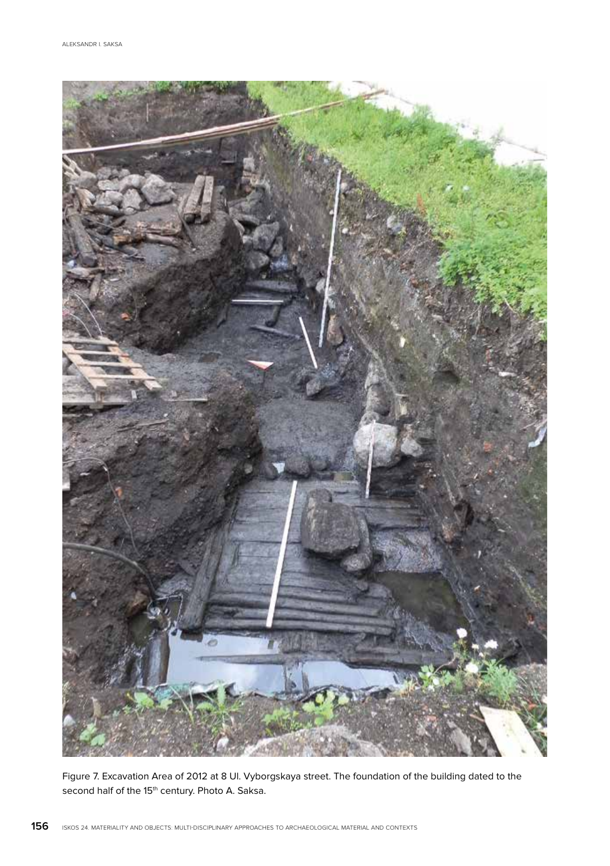

Figure 7. Excavation Area of 2012 at 8 Ul. Vyborgskaya street. The foundation of the building dated to the second half of the 15<sup>th</sup> century. Photo A. Saksa.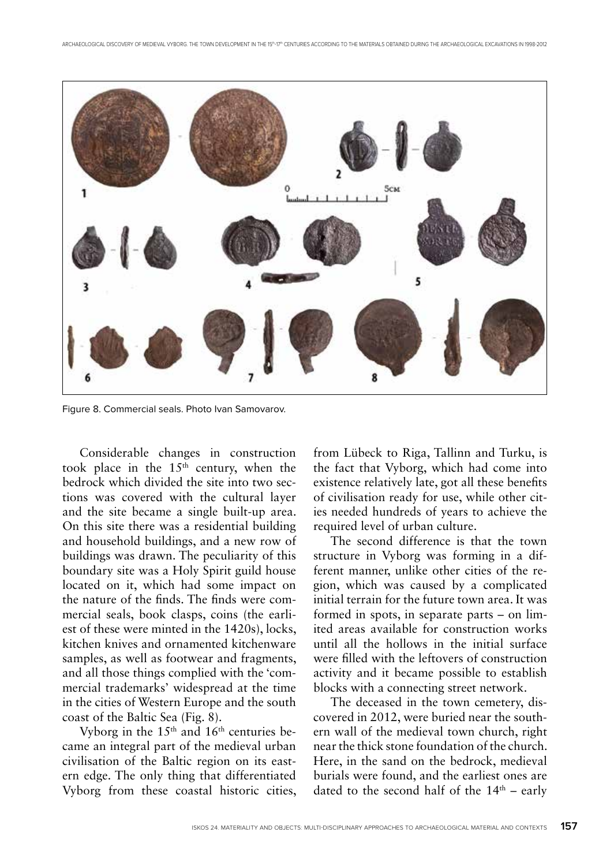

Figure 8. Commercial seals. Photo Ivan Samovarov.

Considerable changes in construction took place in the  $15<sup>th</sup>$  century, when the bedrock which divided the site into two sections was covered with the cultural layer and the site became a single built-up area. On this site there was a residential building and household buildings, and a new row of buildings was drawn. The peculiarity of this boundary site was a Holy Spirit guild house located on it, which had some impact on the nature of the finds. The finds were commercial seals, book clasps, coins (the earliest of these were minted in the 1420s), locks, kitchen knives and ornamented kitchenware samples, as well as footwear and fragments, and all those things complied with the 'commercial trademarks' widespread at the time in the cities of Western Europe and the south coast of the Baltic Sea (Fig. 8).

Vyborg in the  $15<sup>th</sup>$  and  $16<sup>th</sup>$  centuries became an integral part of the medieval urban civilisation of the Baltic region on its eastern edge. The only thing that differentiated Vyborg from these coastal historic cities,

from Lübeck to Riga, Tallinn and Turku, is the fact that Vyborg, which had come into existence relatively late, got all these benefits of civilisation ready for use, while other cities needed hundreds of years to achieve the required level of urban culture.

The second difference is that the town structure in Vyborg was forming in a different manner, unlike other cities of the region, which was caused by a complicated initial terrain for the future town area. It was formed in spots, in separate parts – on limited areas available for construction works until all the hollows in the initial surface were filled with the leftovers of construction activity and it became possible to establish blocks with a connecting street network.

The deceased in the town cemetery, discovered in 2012, were buried near the southern wall of the medieval town church, right near the thick stone foundation of the church. Here, in the sand on the bedrock, medieval burials were found, and the earliest ones are dated to the second half of the  $14<sup>th</sup>$  – early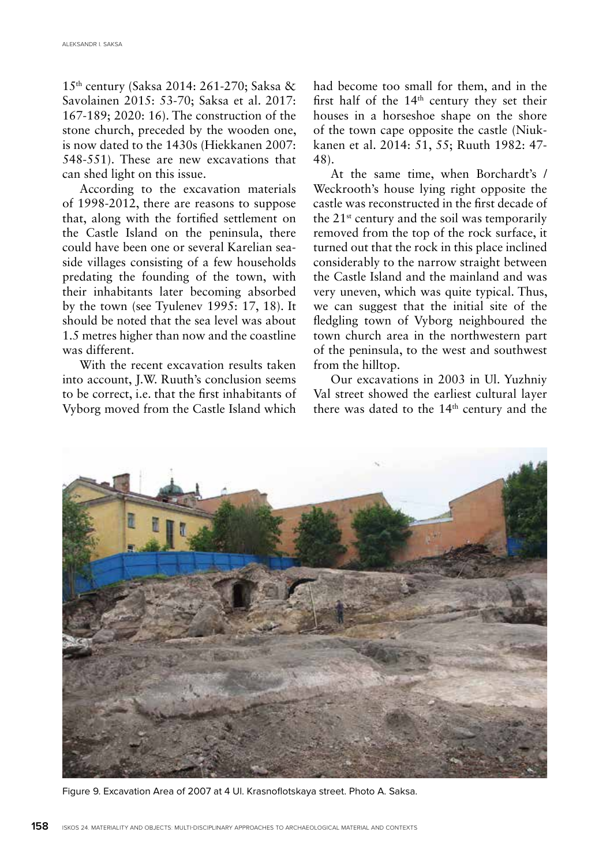15th century (Saksa 2014: 261-270; Saksa & Savolainen 2015: 53-70; Saksa et al. 2017: 167-189; 2020: 16). The construction of the stone church, preceded by the wooden one, is now dated to the 1430s (Hiekkanen 2007: 548-551). These are new excavations that can shed light on this issue.

According to the excavation materials of 1998-2012, there are reasons to suppose that, along with the fortified settlement on the Castle Island on the peninsula, there could have been one or several Karelian seaside villages consisting of a few households predating the founding of the town, with their inhabitants later becoming absorbed by the town (see Tyulenev 1995: 17, 18). It should be noted that the sea level was about 1.5 metres higher than now and the coastline was different.

With the recent excavation results taken into account, J.W. Ruuth's conclusion seems to be correct, i.e. that the first inhabitants of Vyborg moved from the Castle Island which had become too small for them, and in the first half of the  $14<sup>th</sup>$  century they set their houses in a horseshoe shape on the shore of the town cape opposite the castle (Niukkanen et al. 2014: 51, 55; Ruuth 1982: 47- 48).

At the same time, when Borchardt's / Weckrooth's house lying right opposite the castle was reconstructed in the first decade of the  $21^{st}$  century and the soil was temporarily removed from the top of the rock surface, it turned out that the rock in this place inclined considerably to the narrow straight between the Castle Island and the mainland and was very uneven, which was quite typical. Thus, we can suggest that the initial site of the fledgling town of Vyborg neighboured the town church area in the northwestern part of the peninsula, to the west and southwest from the hilltop.

Our excavations in 2003 in Ul. Yuzhniy Val street showed the earliest cultural layer there was dated to the 14<sup>th</sup> century and the



Figure 9. Excavation Area of 2007 at 4 Ul. Krasnoflotskaya street. Photo A. Saksa.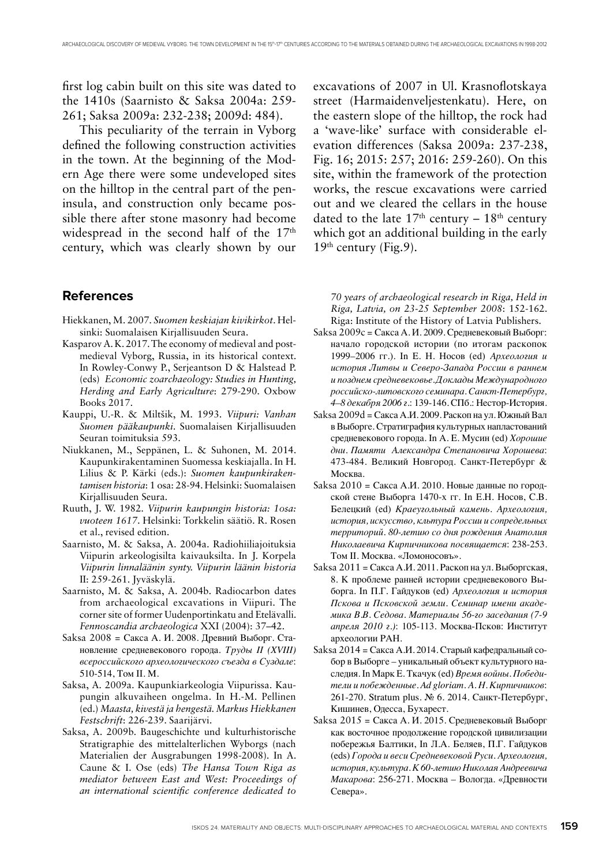first log cabin built on this site was dated to the 1410s (Saarnisto & Saksa 2004a: 259- 261; Saksa 2009a: 232-238; 2009d: 484).

This peculiarity of the terrain in Vyborg defined the following construction activities in the town. At the beginning of the Modern Age there were some undeveloped sites on the hilltop in the central part of the peninsula, and construction only became possible there after stone masonry had become widespread in the second half of the 17<sup>th</sup> century, which was clearly shown by our

#### **References**

- Hiekkanen, M. 2007. *Suomen keskiajan kivikirkot*. Helsinki: Suomalaisen Kirjallisuuden Seura.
- Kasparov A. K. 2017. The economy of medieval and postmedieval Vyborg, Russia, in its historical context. In Rowley-Conwy P., Serjeantson D & Halstead P. (eds) *Economic zoarchaeology: Studies in Hunting, Herding and Early Agriculture*: 279-290. Oxbow Books 2017.
- Kauppi, U.-R. & Miltšik, M. 1993. *Viipuri: Vanhan Suomen pääkaupunki*. Suomalaisen Kirjallisuuden Seuran toimituksia 593.
- Niukkanen, M., Seppänen, L. & Suhonen, M. 2014. Kaupunkirakentaminen Suomessa keskiajalla. In H. Lilius & P. Kärki (eds.): *Suomen kaupunkirakentamisen historia*: 1 osa: 28-94. Helsinki: Suomalaisen Kirjallisuuden Seura.
- Ruuth, J. W. 1982. *Viipurin kaupungin historia: 1osa: vuoteen 1617*. Helsinki: Torkkelin säätiö. R. Rosen et al., revised edition.
- Saarnisto, M. & Saksa, A. 2004a. Radiohiiliajoituksia Viipurin arkeologisilta kaivauksilta. In J. Korpela *Viipurin linnaläänin synty. Viipurin läänin historia*  II: 259-261. Jyväskylä.
- Saarnisto, M. & Saksa, A. 2004b. Radiocarbon dates from archaeological excavations in Viipuri. The corner site of former Uudenportinkatu and Etelävalli. *Fennoscandia archaeologica* XXI (2004): 37–42.
- Saksa 2008 = Сакса А. И. 2008. Древний Выборг. Становление средневекового города. *Труды II (XVIII) всероссийского археологического съезда в Суздале*: 510-514, Том II. М.
- Saksa, A. 2009a. Kaupunkiarkeologia Viipurissa. Kaupungin alkuvaiheen ongelma. In H.-M. Pellinen (ed.) *Maasta, kivestä ja hengestä. Markus Hiekkanen Festschrift*: 226-239. Saarijärvi.
- Saksa, A. 2009b. Baugeschichte und kulturhistorische Stratigraphie des mittelalterlichen Wyborgs (nach Materialien der Ausgrabungen 1998-2008). In A. Caune & I. Ose (eds) *The Hansa Town Riga as mediator between East and West: Proceedings of an international scientific conference dedicated to*

excavations of 2007 in Ul. Krasnoflotskaya street (Harmaidenveljestenkatu). Here, on the eastern slope of the hilltop, the rock had a 'wave-like' surface with considerable elevation differences (Saksa 2009a: 237-238, Fig. 16; 2015: 257; 2016: 259-260). On this site, within the framework of the protection works, the rescue excavations were carried out and we cleared the cellars in the house dated to the late  $17<sup>th</sup>$  century –  $18<sup>th</sup>$  century which got an additional building in the early  $19<sup>th</sup>$  century (Fig.9).

*70 years of archaeological research in Riga, Held in Riga, Latvia, on 23-25 September 2008*: 152-162. Riga: Institute of the History of Latvia Publishers.

- Saksa 2009c = Сакса А. И. 2009. Средневековый Выборг: начало городской истории (по итогам раскопок 1999–2006 гг.). In Е. Н. Носов (ed) *Археология и история Литвы и Северо-Запада России в раннем и позднем средневековье. Доклады Международного российско-литовского семинара. Санкт-Петербург, 4–8 декабря 2006 г*.: 139-146. СПб.: Нестор-История.
- Saksa 2009d = Сакса А.И. 2009. Раскоп на ул. Южный Вал в Выборге. Стратиграфия культурных напластований средневекового города. In А. Е. Мусин (ed) *Хорошие дни. Памяти Александра Степановича Хорошева*: 473-484. Великий Новгород. Санкт-Петербург & Москва.
- Saksa 2010 = Сакса А.И. 2010. Новые данные по городской стене Выборга 1470-х гг. In Е.Н. Носов, С.В. Белецкий (ed) *Краеугольный камень. Археология, история, искусство, кльтура России и сопредельных территорий. 80-летию со дня рождения Анатолия Николаевича Кирпичникова посвящается*: 238-253. Том II. Москва. «Ломоносовъ».
- Saksa 2011 = Сакса А.И. 2011. Раскоп на ул. Выборгская, 8. К проблеме ранней истории средневекового Выборга. In П.Г. Гайдуков (ed) *Археология и история Пскова и Псковской земли. Семинар имени академика В.В. Седова. Материалы 56-го заседания (7-9 апреля 2010 г.)*: 105-113. Москва-Псков: Институт археологии РАН.
- Saksa 2014 = Сакса А.И. 2014. Старый кафедральный собор в Выборге – уникальный объект культурного наследия. In Марк Е. Ткачук (ed) *Время войны. Победители и побежденные. Ad gloriam. А. Н. Кирпичников*: 261-270. Stratum plus. № 6. 2014. Санкт-Петербург, Кишинев, Одесса, Бухарест.
- Saksa 2015 = Сакса А. И. 2015. Средневековый Выборг как восточное продолжение городской цивилизации побережья Балтики, In Л.А. Беляев, П.Г. Гайдуков (eds) *Города и веси Средневековой Руси. Археология, история, культура. К 60-летию Николая Андреевича Макарова*: 256-271. Москва – Вологда. «Древности Севера».